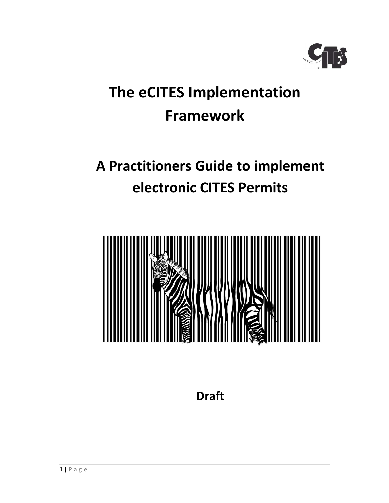

# The eCITES Implementation Framework

# A Practitioners Guide to implement electronic CITES Permits



Draft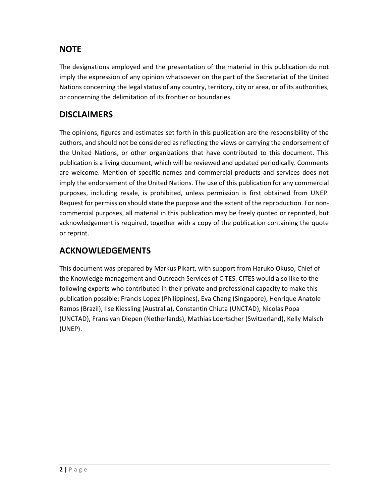# **NOTE**

The designations employed and the presentation of the material in this publication do not imply the expression of any opinion whatsoever on the part of the Secretariat of the United Nations concerning the legal status of any country, territory, city or area, or of its authorities, or concerning the delimitation of its frontier or boundaries.

# **DISCLAIMERS**

The opinions, figures and estimates set forth in this publication are the responsibility of the authors, and should not be considered as reflecting the views or carrying the endorsement of the United Nations, or other organizations that have contributed to this document. This publication is a living document, which will be reviewed and updated periodically. Comments are welcome. Mention of specific names and commercial products and services does not imply the endorsement of the United Nations. The use of this publication for any commercial purposes, including resale, is prohibited, unless permission is first obtained from UNEP. Request for permission should state the purpose and the extent of the reproduction. For noncommercial purposes, all material in this publication may be freely quoted or reprinted, but acknowledgement is required, together with a copy of the publication containing the quote or reprint.

# ACKNOWLEDGEMENTS

This document was prepared by Markus Pikart, with support from Haruko Okuso, Chief of the Knowledge management and Outreach Services of CITES. CITES would also like to the following experts who contributed in their private and professional capacity to make this publication possible: Francis Lopez (Philippines), Eva Chang (Singapore), Henrique Anatole Ramos (Brazil), Ilse Kiessling (Australia), Constantin Chiuta (UNCTAD), Nicolas Popa (UNCTAD), Frans van Diepen (Netherlands), Mathias Loertscher (Switzerland), Kelly Malsch (UNEP).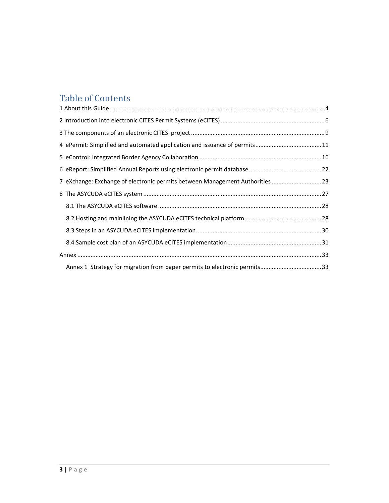# Table of Contents

| 4 ePermit: Simplified and automated application and issuance of permits11     |  |
|-------------------------------------------------------------------------------|--|
|                                                                               |  |
|                                                                               |  |
| 7 eXchange: Exchange of electronic permits between Management Authorities  23 |  |
|                                                                               |  |
|                                                                               |  |
|                                                                               |  |
|                                                                               |  |
|                                                                               |  |
|                                                                               |  |
| Annex 1 Strategy for migration from paper permits to electronic permits33     |  |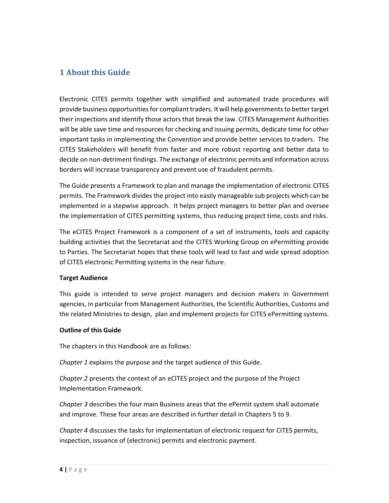## 1 About this Guide

Electronic CITES permits together with simplified and automated trade procedures will provide business opportunities for compliant traders. It will help governments to better target their inspections and identify those actors that break the law. CITES Management Authorities will be able save time and resources for checking and issuing permits, dedicate time for other important tasks in implementing the Convention and provide better services to traders. The CITES Stakeholders will benefit from faster and more robust reporting and better data to decide on non-detriment findings. The exchange of electronic permits and information across borders will increase transparency and prevent use of fraudulent permits.

The Guide presents a Framework to plan and manage the implementation of electronic CITES permits. The Framework divides the project into easily manageable sub projects which can be implemented in a stepwise approach. It helps project managers to better plan and oversee the implementation of CITES permitting systems, thus reducing project time, costs and risks.

The eCITES Project Framework is a component of a set of instruments, tools and capacity building activities that the Secretariat and the CITES Working Group on ePermitting provide to Parties. The Secretariat hopes that these tools will lead to fast and wide spread adoption of CITES electronic Permitting systems in the near future.

### Target Audience

This guide is intended to serve project managers and decision makers in Government agencies, in particular from Management Authorities, the Scientific Authorities, Customs and the related Ministries to design, plan and implement projects for CITES ePermitting systems.

### Outline of this Guide

The chapters in this Handbook are as follows:

Chapter 1 explains the purpose and the target audience of this Guide.

Chapter 2 presents the context of an eCITES project and the purpose of the Project Implementation Framework.

Chapter 3 describes the four main Business areas that the ePermit system shall automate and improve. These four areas are described in further detail in Chapters 5 to 9.

Chapter 4 discusses the tasks for implementation of electronic request for CITES permits, inspection, issuance of (electronic) permits and electronic payment.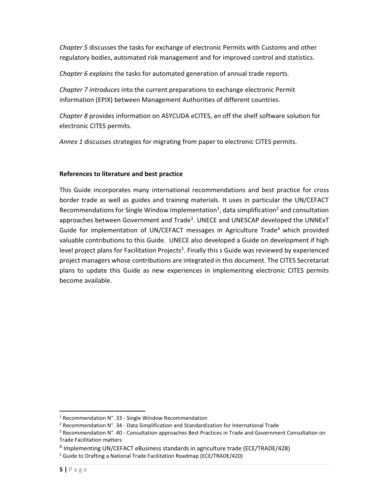Chapter 5 discusses the tasks for exchange of electronic Permits with Customs and other regulatory bodies, automated risk management and for improved control and statistics.

Chapter 6 explains the tasks for automated generation of annual trade reports.

Chapter 7 introduces into the current preparations to exchange electronic Permit information (EPIX) between Management Authorities of different countries.

Chapter 8 provides information on ASYCUDA eCITES, an off the shelf software solution for electronic CITES permits.

Annex 1 discusses strategies for migrating from paper to electronic CITES permits.

### References to literature and best practice

This Guide incorporates many international recommendations and best practice for cross border trade as well as guides and training materials. It uses in particular the UN/CEFACT Recommendations for Single Window Implementation<sup>1</sup>, data simplification<sup>2</sup> and consultation approaches between Government and Trade<sup>3</sup>. UNECE and UNESCAP developed the UNNExT Guide for implementation of UN/CEFACT messages in Agriculture Trade<sup>4</sup> which provided valuable contributions to this Guide. UNECE also developed a Guide on development if high level project plans for Facilitation Projects<sup>5</sup>. Finally this s Guide was reviewed by experienced project managers whose contributions are integrated in this document. The CITES Secretariat plans to update this Guide as new experiences in implementing electronic CITES permits become available.

-

 $1$  Recommendation N°. 33 - Single Window Recommendation

<sup>&</sup>lt;sup>2</sup> Recommendation N°. 34 - Data Simplification and Standardization for International Trade

<sup>&</sup>lt;sup>3</sup> Recommendation N°. 40 - Consultation approaches Best Practices in Trade and Government Consultation on Trade Facilitation matters

<sup>&</sup>lt;sup>4</sup> Implementing UN/CEFACT eBusiness standards in agriculture trade (ECE/TRADE/428)

<sup>&</sup>lt;sup>5</sup> Guide to Drafting a National Trade Facilitation Roadmap (ECE/TRADE/420)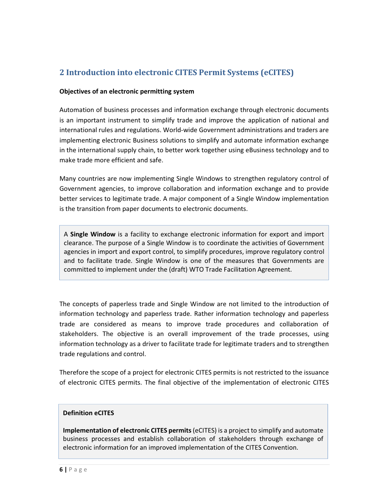# 2 Introduction into electronic CITES Permit Systems (eCITES)

#### Objectives of an electronic permitting system

Automation of business processes and information exchange through electronic documents is an important instrument to simplify trade and improve the application of national and international rules and regulations. World-wide Government administrations and traders are implementing electronic Business solutions to simplify and automate information exchange in the international supply chain, to better work together using eBusiness technology and to make trade more efficient and safe.

Many countries are now implementing Single Windows to strengthen regulatory control of Government agencies, to improve collaboration and information exchange and to provide better services to legitimate trade. A major component of a Single Window implementation is the transition from paper documents to electronic documents.

A Single Window is a facility to exchange electronic information for export and import clearance. The purpose of a Single Window is to coordinate the activities of Government agencies in import and export control, to simplify procedures, improve regulatory control and to facilitate trade. Single Window is one of the measures that Governments are committed to implement under the (draft) WTO Trade Facilitation Agreement.

The concepts of paperless trade and Single Window are not limited to the introduction of information technology and paperless trade. Rather information technology and paperless trade are considered as means to improve trade procedures and collaboration of stakeholders. The objective is an overall improvement of the trade processes, using information technology as a driver to facilitate trade for legitimate traders and to strengthen trade regulations and control.

Therefore the scope of a project for electronic CITES permits is not restricted to the issuance of electronic CITES permits. The final objective of the implementation of electronic CITES

#### Definition eCITES

Implementation of electronic CITES permits (eCITES) is a project to simplify and automate business processes and establish collaboration of stakeholders through exchange of electronic information for an improved implementation of the CITES Convention.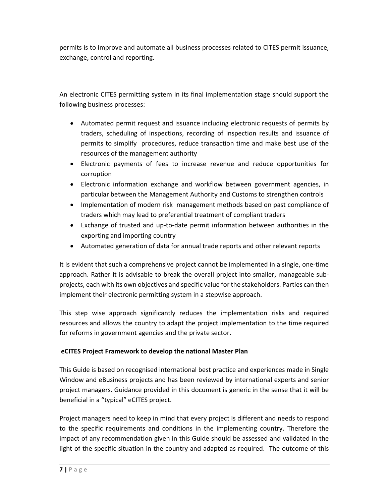permits is to improve and automate all business processes related to CITES permit issuance, exchange, control and reporting.

An electronic CITES permitting system in its final implementation stage should support the following business processes:

- Automated permit request and issuance including electronic requests of permits by traders, scheduling of inspections, recording of inspection results and issuance of permits to simplify procedures, reduce transaction time and make best use of the resources of the management authority
- Electronic payments of fees to increase revenue and reduce opportunities for corruption
- Electronic information exchange and workflow between government agencies, in particular between the Management Authority and Customs to strengthen controls
- Implementation of modern risk management methods based on past compliance of traders which may lead to preferential treatment of compliant traders
- Exchange of trusted and up-to-date permit information between authorities in the exporting and importing country
- Automated generation of data for annual trade reports and other relevant reports

It is evident that such a comprehensive project cannot be implemented in a single, one-time approach. Rather it is advisable to break the overall project into smaller, manageable subprojects, each with its own objectives and specific value for the stakeholders. Parties can then implement their electronic permitting system in a stepwise approach.

This step wise approach significantly reduces the implementation risks and required resources and allows the country to adapt the project implementation to the time required for reforms in government agencies and the private sector.

### eCITES Project Framework to develop the national Master Plan

This Guide is based on recognised international best practice and experiences made in Single Window and eBusiness projects and has been reviewed by international experts and senior project managers. Guidance provided in this document is generic in the sense that it will be beneficial in a "typical" eCITES project.

Project managers need to keep in mind that every project is different and needs to respond to the specific requirements and conditions in the implementing country. Therefore the impact of any recommendation given in this Guide should be assessed and validated in the light of the specific situation in the country and adapted as required. The outcome of this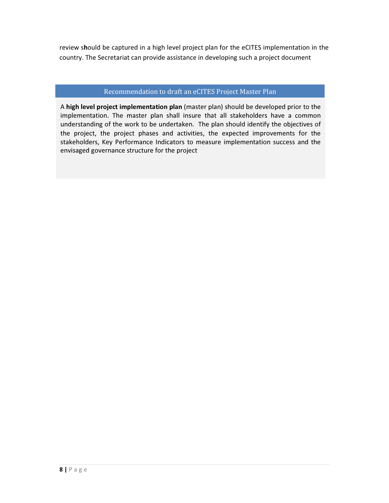review should be captured in a high level project plan for the eCITES implementation in the country. The Secretariat can provide assistance in developing such a project document

### Recommendation to draft an eCITES Project Master Plan

A high level project implementation plan (master plan) should be developed prior to the implementation. The master plan shall insure that all stakeholders have a common understanding of the work to be undertaken. The plan should identify the objectives of the project, the project phases and activities, the expected improvements for the stakeholders, Key Performance Indicators to measure implementation success and the envisaged governance structure for the project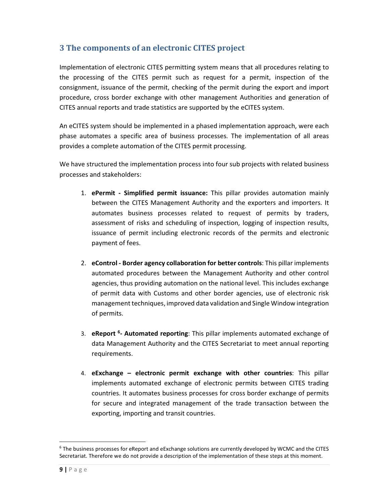# 3 The components of an electronic CITES project

Implementation of electronic CITES permitting system means that all procedures relating to the processing of the CITES permit such as request for a permit, inspection of the consignment, issuance of the permit, checking of the permit during the export and import procedure, cross border exchange with other management Authorities and generation of CITES annual reports and trade statistics are supported by the eCITES system.

An eCITES system should be implemented in a phased implementation approach, were each phase automates a specific area of business processes. The implementation of all areas provides a complete automation of the CITES permit processing.

We have structured the implementation process into four sub projects with related business processes and stakeholders:

- 1. ePermit Simplified permit issuance: This pillar provides automation mainly between the CITES Management Authority and the exporters and importers. It automates business processes related to request of permits by traders, assessment of risks and scheduling of inspection, logging of inspection results, issuance of permit including electronic records of the permits and electronic payment of fees.
- 2. eControl Border agency collaboration for better controls: This pillar implements automated procedures between the Management Authority and other control agencies, thus providing automation on the national level. This includes exchange of permit data with Customs and other border agencies, use of electronic risk management techniques, improved data validation and Single Window integration of permits.
- 3. eReport <sup>6</sup>- Automated reporting: This pillar implements automated exchange of data Management Authority and the CITES Secretariat to meet annual reporting requirements.
- 4. eExchange electronic permit exchange with other countries: This pillar implements automated exchange of electronic permits between CITES trading countries. It automates business processes for cross border exchange of permits for secure and integrated management of the trade transaction between the exporting, importing and transit countries.

<sup>&</sup>lt;sup>6</sup> The business processes for eReport and eExchange solutions are currently developed by WCMC and the CITES Secretariat. Therefore we do not provide a description of the implementation of these steps at this moment.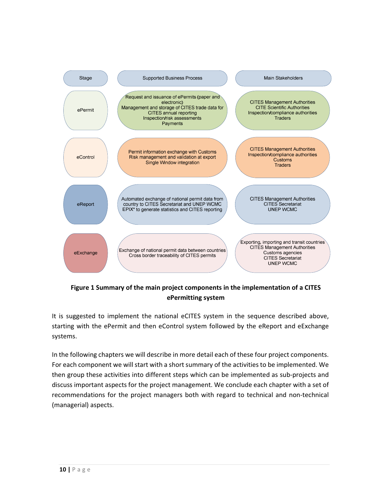

Figure 1 Summary of the main project components in the implementation of a CITES ePermitting system

It is suggested to implement the national eCITES system in the sequence described above, starting with the ePermit and then eControl system followed by the eReport and eExchange systems.

In the following chapters we will describe in more detail each of these four project components. For each component we will start with a short summary of the activities to be implemented. We then group these activities into different steps which can be implemented as sub-projects and discuss important aspects for the project management. We conclude each chapter with a set of recommendations for the project managers both with regard to technical and non-technical (managerial) aspects.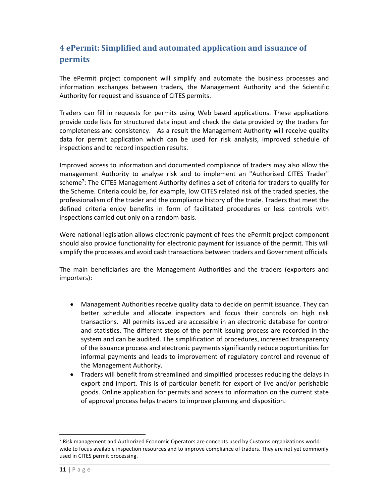# 4 ePermit: Simplified and automated application and issuance of permits

The ePermit project component will simplify and automate the business processes and information exchanges between traders, the Management Authority and the Scientific Authority for request and issuance of CITES permits.

Traders can fill in requests for permits using Web based applications. These applications provide code lists for structured data input and check the data provided by the traders for completeness and consistency. As a result the Management Authority will receive quality data for permit application which can be used for risk analysis, improved schedule of inspections and to record inspection results.

Improved access to information and documented compliance of traders may also allow the management Authority to analyse risk and to implement an "Authorised CITES Trader" scheme<sup>7</sup>: The CITES Management Authority defines a set of criteria for traders to qualify for the Scheme. Criteria could be, for example, low CITES related risk of the traded species, the professionalism of the trader and the compliance history of the trade. Traders that meet the defined criteria enjoy benefits in form of facilitated procedures or less controls with inspections carried out only on a random basis.

Were national legislation allows electronic payment of fees the ePermit project component should also provide functionality for electronic payment for issuance of the permit. This will simplify the processes and avoid cash transactions between traders and Government officials.

The main beneficiaries are the Management Authorities and the traders (exporters and importers):

- Management Authorities receive quality data to decide on permit issuance. They can better schedule and allocate inspectors and focus their controls on high risk transactions. All permits issued are accessible in an electronic database for control and statistics. The different steps of the permit issuing process are recorded in the system and can be audited. The simplification of procedures, increased transparency of the issuance process and electronic payments significantly reduce opportunities for informal payments and leads to improvement of regulatory control and revenue of the Management Authority.
- Traders will benefit from streamlined and simplified processes reducing the delays in export and import. This is of particular benefit for export of live and/or perishable goods. Online application for permits and access to information on the current state of approval process helps traders to improve planning and disposition.

-

 $^7$  Risk management and Authorized Economic Operators are concepts used by Customs organizations worldwide to focus available inspection resources and to improve compliance of traders. They are not yet commonly used in CITES permit processing.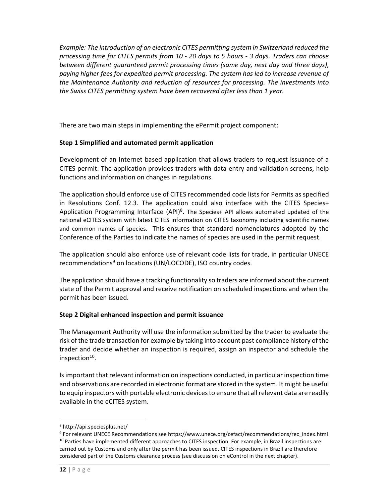Example: The introduction of an electronic CITES permitting system in Switzerland reduced the processing time for CITES permits from 10 - 20 days to 5 hours - 3 days. Traders can choose between different guaranteed permit processing times (same day, next day and three days), paying higher fees for expedited permit processing. The system has led to increase revenue of the Maintenance Authority and reduction of resources for processing. The investments into the Swiss CITES permitting system have been recovered after less than 1 year.

There are two main steps in implementing the ePermit project component:

### Step 1 Simplified and automated permit application

Development of an Internet based application that allows traders to request issuance of a CITES permit. The application provides traders with data entry and validation screens, help functions and information on changes in regulations.

The application should enforce use of CITES recommended code lists for Permits as specified in Resolutions Conf. 12.3. The application could also interface with the CITES Species+ Application Programming Interface (API)<sup>8</sup>. The Species+ API allows automated updated of the national eCITES system with latest CITES information on CITES taxonomy including scientific names and common names of species. This ensures that standard nomenclatures adopted by the Conference of the Parties to indicate the names of species are used in the permit request.

The application should also enforce use of relevant code lists for trade, in particular UNECE recommendations<sup>9</sup> on locations (UN/LOCODE), ISO country codes.

The application should have a tracking functionality so traders are informed about the current state of the Permit approval and receive notification on scheduled inspections and when the permit has been issued.

### Step 2 Digital enhanced inspection and permit issuance

The Management Authority will use the information submitted by the trader to evaluate the risk of the trade transaction for example by taking into account past compliance history of the trader and decide whether an inspection is required, assign an inspector and schedule the inspection<sup>10</sup>.

Is important that relevant information on inspections conducted, in particular inspection time and observations are recorded in electronic format are stored in the system. It might be useful to equip inspectors with portable electronic devices to ensure that all relevant data are readily available in the eCITES system.

<sup>8</sup> http://api.speciesplus.net/

<sup>&</sup>lt;sup>9</sup> For relevant UNECE Recommendations see https://www.unece.org/cefact/recommendations/rec\_index.html <sup>10</sup> Parties have implemented different approaches to CITES inspection. For example, in Brazil inspections are carried out by Customs and only after the permit has been issued. CITES inspections in Brazil are therefore considered part of the Customs clearance process (see discussion on eControl in the next chapter).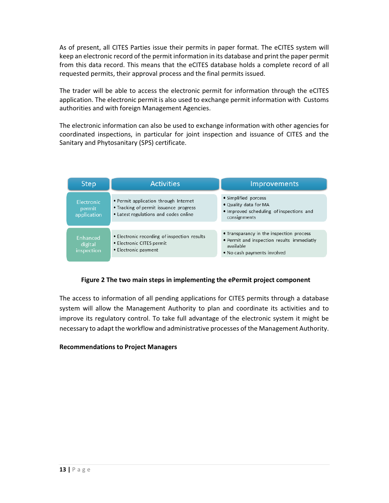As of present, all CITES Parties issue their permits in paper format. The eCITES system will keep an electronic record of the permit information in its database and print the paper permit from this data record. This means that the eCITES database holds a complete record of all requested permits, their approval process and the final permits issued.

The trader will be able to access the electronic permit for information through the eCITES application. The electronic permit is also used to exchange permit information with Customs authorities and with foreign Management Agencies.

The electronic information can also be used to exchange information with other agencies for coordinated inspections, in particular for joint inspection and issuance of CITES and the Sanitary and Phytosanitary (SPS) certificate.

| <b>Step</b>                         | <b>Activities</b>                                                                                                        | Improvements                                                                                                                       |  |
|-------------------------------------|--------------------------------------------------------------------------------------------------------------------------|------------------------------------------------------------------------------------------------------------------------------------|--|
| Electronic<br>permit<br>application | • Permit application through Internet<br>• Tracking of permit issuance progress<br>• Latest regulations and codes online | • Simplified porcess<br>• Quality data for MA<br>• Improved scheduling of inspections and<br>consignments                          |  |
| Enhanced<br>digital<br>inspection   | • Electronic recording of inspection results<br>• Electronic CITES permit<br>• Electronic payment                        | • Transparancy in the inspection process<br>• Permit and inspection results immediatly<br>available<br>• No cash payments involved |  |

### Figure 2 The two main steps in implementing the ePermit project component

The access to information of all pending applications for CITES permits through a database system will allow the Management Authority to plan and coordinate its activities and to improve its regulatory control. To take full advantage of the electronic system it might be necessary to adapt the workflow and administrative processes of the Management Authority.

### Recommendations to Project Managers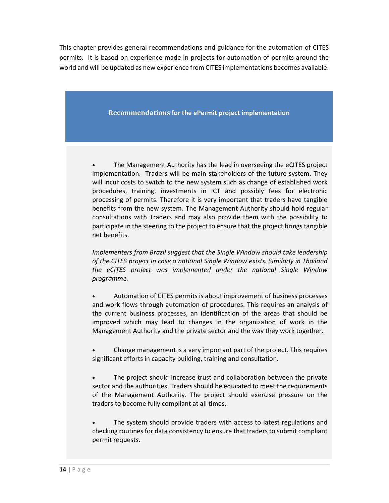This chapter provides general recommendations and guidance for the automation of CITES permits. It is based on experience made in projects for automation of permits around the world and will be updated as new experience from CITES implementations becomes available.

Recommendations for the ePermit project implementation

• The Management Authority has the lead in overseeing the eCITES project implementation. Traders will be main stakeholders of the future system. They will incur costs to switch to the new system such as change of established work procedures, training, investments in ICT and possibly fees for electronic processing of permits. Therefore it is very important that traders have tangible benefits from the new system. The Management Authority should hold regular consultations with Traders and may also provide them with the possibility to participate in the steering to the project to ensure that the project brings tangible net benefits.

Implementers from Brazil suggest that the Single Window should take leadership of the CITES project in case a national Single Window exists. Similarly in Thailand the eCITES project was implemented under the national Single Window programme.

• Automation of CITES permits is about improvement of business processes and work flows through automation of procedures. This requires an analysis of the current business processes, an identification of the areas that should be improved which may lead to changes in the organization of work in the Management Authority and the private sector and the way they work together.

• Change management is a very important part of the project. This requires significant efforts in capacity building, training and consultation.

The project should increase trust and collaboration between the private sector and the authorities. Traders should be educated to meet the requirements of the Management Authority. The project should exercise pressure on the traders to become fully compliant at all times.

The system should provide traders with access to latest regulations and checking routines for data consistency to ensure that traders to submit compliant permit requests.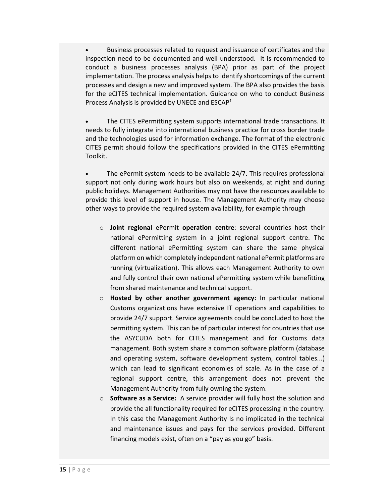• Business processes related to request and issuance of certificates and the inspection need to be documented and well understood. It is recommended to conduct a business processes analysis (BPA) prior as part of the project implementation. The process analysis helps to identify shortcomings of the current processes and design a new and improved system. The BPA also provides the basis for the eCITES technical implementation. Guidance on who to conduct Business Process Analysis is provided by UNECE and  $ESCAP<sup>1</sup>$ 

• The CITES ePermitting system supports international trade transactions. It needs to fully integrate into international business practice for cross border trade and the technologies used for information exchange. The format of the electronic CITES permit should follow the specifications provided in the CITES ePermitting Toolkit.

The ePermit system needs to be available 24/7. This requires professional support not only during work hours but also on weekends, at night and during public holidays. Management Authorities may not have the resources available to provide this level of support in house. The Management Authority may choose other ways to provide the required system availability, for example through

- $\circ$  Joint regional ePermit operation centre: several countries host their national ePermitting system in a joint regional support centre. The different national ePermitting system can share the same physical platform on which completely independent national ePermit platforms are running (virtualization). This allows each Management Authority to own and fully control their own national ePermitting system while benefitting from shared maintenance and technical support.
- $\circ$  Hosted by other another government agency: In particular national Customs organizations have extensive IT operations and capabilities to provide 24/7 support. Service agreements could be concluded to host the permitting system. This can be of particular interest for countries that use the ASYCUDA both for CITES management and for Customs data management. Both system share a common software platform (database and operating system, software development system, control tables...) which can lead to significant economies of scale. As in the case of a regional support centre, this arrangement does not prevent the Management Authority from fully owning the system.
- $\circ$  Software as a Service: A service provider will fully host the solution and provide the all functionality required for eCITES processing in the country. In this case the Management Authority Is no implicated in the technical and maintenance issues and pays for the services provided. Different financing models exist, often on a "pay as you go" basis.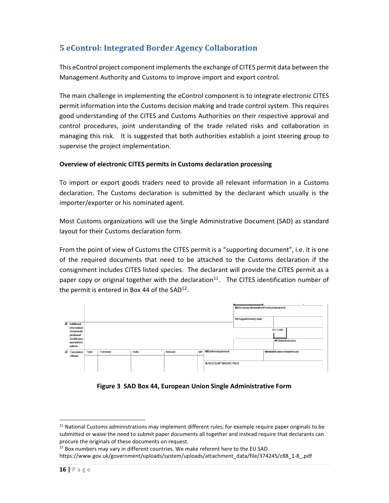# 5 eControl: Integrated Border Agency Collaboration

This eControl project component implements the exchange of CITES permit data between the Management Authority and Customs to improve import and export control.

The main challenge in implementing the eControl component is to integrate electronic CITES permit information into the Customs decision making and trade control system. This requires good understanding of the CITES and Customs Authorities on their respective approval and control procedures, joint understanding of the trade related risks and collaboration in managing this risk. It is suggested that both authorities establish a joint steering group to supervise the project implementation.

### Overview of electronic CITES permits in Customs declaration processing

To import or export goods traders need to provide all relevant information in a Customs declaration. The Customs declaration is submitted by the declarant which usually is the importer/exporter or his nominated agent.

Most Customs organizations will use the Single Administrative Document (SAD) as standard layout for their Customs declaration form.

From the point of view of Customs the CITES permit is a "supporting document", i.e. it is one of the required documents that need to be attached to the Customs declaration if the consignment includes CITES listed species. The declarant will provide the CITES permit as a paper copy or original together with the declaration<sup>11</sup>. The CITES identification number of the permit is entered in Box 44 of the  $SAD^{12}$ .



Figure 3 SAD Box 44, European Union Single Administrative Form

 $11$  National Customs administrations may implement different rules, for example require paper originals to be submitted or waive the need to submit paper documents all together and instead require that declarants can procure the originals of these documents on request.

<sup>&</sup>lt;sup>12</sup> Box numbers may vary in different countries. We make referent here to the EU SAD

https://www.gov.uk/government/uploads/system/uploads/attachment\_data/file/374245/c88\_1-8\_.pdf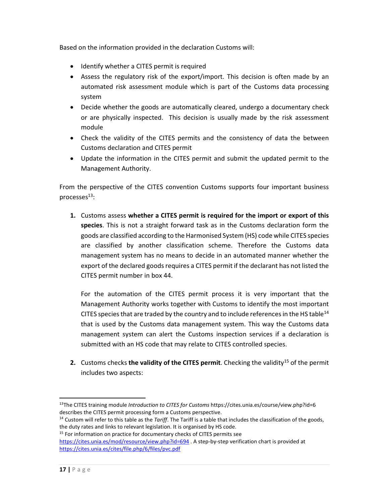Based on the information provided in the declaration Customs will:

- Identify whether a CITES permit is required
- Assess the regulatory risk of the export/import. This decision is often made by an automated risk assessment module which is part of the Customs data processing system
- Decide whether the goods are automatically cleared, undergo a documentary check or are physically inspected. This decision is usually made by the risk assessment module
- Check the validity of the CITES permits and the consistency of data the between Customs declaration and CITES permit
- Update the information in the CITES permit and submit the updated permit to the Management Authority.

From the perspective of the CITES convention Customs supports four important business processes $^{13}$ :

1. Customs assess whether a CITES permit is required for the import or export of this species. This is not a straight forward task as in the Customs declaration form the goods are classified according to the Harmonised System (HS) code while CITES species are classified by another classification scheme. Therefore the Customs data management system has no means to decide in an automated manner whether the export of the declared goods requires a CITES permit if the declarant has not listed the CITES permit number in box 44.

For the automation of the CITES permit process it is very important that the Management Authority works together with Customs to identify the most important CITES species that are traded by the country and to include references in the HS table<sup>14</sup> that is used by the Customs data management system. This way the Customs data management system can alert the Customs inspection services if a declaration is submitted with an HS code that may relate to CITES controlled species.

2. Customs checks the validity of the CITES permit. Checking the validity<sup>15</sup> of the permit includes two aspects:

 $13$ The CITES training module Introduction to CITES for Customs https://cites.unia.es/course/view.php?id=6 describes the CITES permit processing form a Customs perspective.

 $14$  Custom will refer to this table as the Tariff. The Tariff is a table that includes the classification of the goods, the duty rates and links to relevant legislation. It is organised by HS code.

<sup>&</sup>lt;sup>15</sup> For information on practice for documentary checks of CITES permits see

https://cites.unia.es/mod/resource/view.php?id=694 . A step-by-step verification chart is provided at https://cites.unia.es/cites/file.php/6/files/pvc.pdf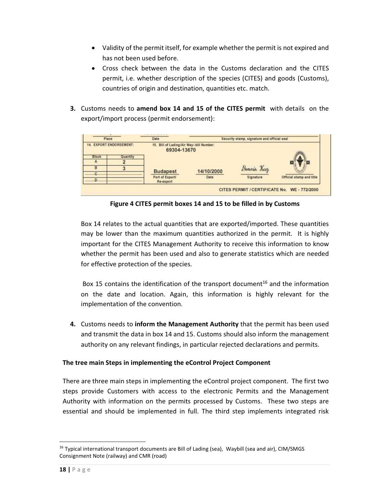- Validity of the permit itself, for example whether the permit is not expired and has not been used before.
- Cross check between the data in the Customs declaration and the CITES permit, i.e. whether description of the species (CITES) and goods (Customs), countries of origin and destination, quantities etc. match.
- 3. Customs needs to amend box 14 and 15 of the CITES permit with details on the export/import process (permit endorsement):



Figure 4 CITES permit boxes 14 and 15 to be filled in by Customs

Box 14 relates to the actual quantities that are exported/imported. These quantities may be lower than the maximum quantities authorized in the permit. It is highly important for the CITES Management Authority to receive this information to know whether the permit has been used and also to generate statistics which are needed for effective protection of the species.

Box 15 contains the identification of the transport document<sup>16</sup> and the information on the date and location. Again, this information is highly relevant for the implementation of the convention.

4. Customs needs to inform the Management Authority that the permit has been used and transmit the data in box 14 and 15. Customs should also inform the management authority on any relevant findings, in particular rejected declarations and permits.

### The tree main Steps in implementing the eControl Project Component

There are three main steps in implementing the eControl project component. The first two steps provide Customers with access to the electronic Permits and the Management Authority with information on the permits processed by Customs. These two steps are essential and should be implemented in full. The third step implements integrated risk

<sup>&</sup>lt;sup>16</sup> Typical international transport documents are Bill of Lading (sea), Waybill (sea and air), CIM/SMGS Consignment Note (railway) and CMR (road)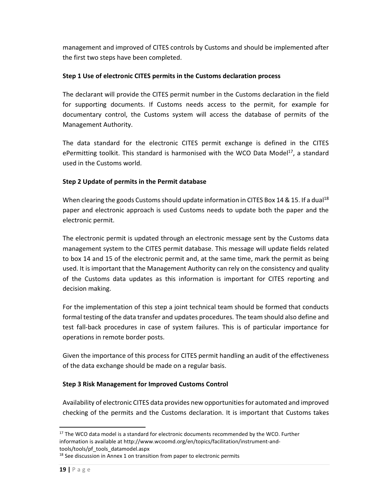management and improved of CITES controls by Customs and should be implemented after the first two steps have been completed.

### Step 1 Use of electronic CITES permits in the Customs declaration process

The declarant will provide the CITES permit number in the Customs declaration in the field for supporting documents. If Customs needs access to the permit, for example for documentary control, the Customs system will access the database of permits of the Management Authority.

The data standard for the electronic CITES permit exchange is defined in the CITES ePermitting toolkit. This standard is harmonised with the WCO Data Model $^{17}$ , a standard used in the Customs world.

### Step 2 Update of permits in the Permit database

When clearing the goods Customs should update information in CITES Box 14 & 15. If a dual<sup>18</sup> paper and electronic approach is used Customs needs to update both the paper and the electronic permit.

The electronic permit is updated through an electronic message sent by the Customs data management system to the CITES permit database. This message will update fields related to box 14 and 15 of the electronic permit and, at the same time, mark the permit as being used. It is important that the Management Authority can rely on the consistency and quality of the Customs data updates as this information is important for CITES reporting and decision making.

For the implementation of this step a joint technical team should be formed that conducts formal testing of the data transfer and updates procedures. The team should also define and test fall-back procedures in case of system failures. This is of particular importance for operations in remote border posts.

Given the importance of this process for CITES permit handling an audit of the effectiveness of the data exchange should be made on a regular basis.

### Step 3 Risk Management for Improved Customs Control

Availability of electronic CITES data provides new opportunities for automated and improved checking of the permits and the Customs declaration. It is important that Customs takes

 $17$  The WCO data model is a standard for electronic documents recommended by the WCO. Further information is available at http://www.wcoomd.org/en/topics/facilitation/instrument-andtools/tools/pf\_tools\_datamodel.aspx

 $18$  See discussion in Annex 1 on transition from paper to electronic permits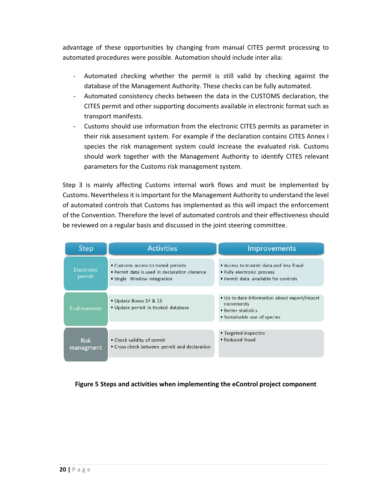advantage of these opportunities by changing from manual CITES permit processing to automated procedures were possible. Automation should include inter alia:

- Automated checking whether the permit is still valid by checking against the database of the Management Authority. These checks can be fully automated.
- Automated consistency checks between the data in the CUSTOMS declaration, the CITES permit and other supporting documents available in electronic format such as transport manifests.
- Customs should use information from the electronic CITES permits as parameter in their risk assessment system. For example if the declaration contains CITES Annex I species the risk management system could increase the evaluated risk. Customs should work together with the Management Authority to identify CITES relevant parameters for the Customs risk management system.

Step 3 is mainly affecting Customs internal work flows and must be implemented by Customs. Nevertheless it is important for the Management Authority to understand the level of automated controls that Customs has implemented as this will impact the enforcement of the Convention. Therefore the level of automated controls and their effectiveness should be reviewed on a regular basis and discussed in the joint steering committee.

| <b>Step</b>                                                                                                                                       | <b>Activities</b>                                                          | Improvements                                                                                                     |  |
|---------------------------------------------------------------------------------------------------------------------------------------------------|----------------------------------------------------------------------------|------------------------------------------------------------------------------------------------------------------|--|
| • Customs access to truted permits<br><b>Electronic</b><br>• Permit data is used in declaration clerance<br>permit<br>• Single Window integration |                                                                            | • Access to trusted data and less fraud<br>• Fully electronic process<br>• Permit data available for controls    |  |
| Endorsement                                                                                                                                       | • Update Boxes 14 & 15<br>• Update permit in trusted database              | • Up to date information about export/import<br>movements<br>• Better statistics<br>• Sustainable use of species |  |
| <b>Risk</b><br>managment                                                                                                                          | • Check validity of permit<br>• Cross check between permit and declaration | • Targeted inspectins<br>• Reduced fraud                                                                         |  |

Figure 5 Steps and activities when implementing the eControl project component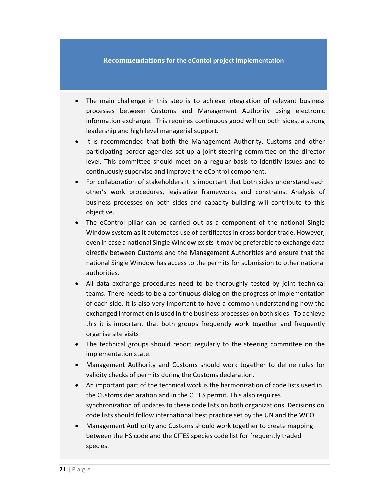#### Recommendations for the eContol project implementation

- The main challenge in this step is to achieve integration of relevant business processes between Customs and Management Authority using electronic information exchange. This requires continuous good will on both sides, a strong leadership and high level managerial support.
- It is recommended that both the Management Authority, Customs and other participating border agencies set up a joint steering committee on the director level. This committee should meet on a regular basis to identify issues and to continuously supervise and improve the eControl component.
- For collaboration of stakeholders it is important that both sides understand each other's work procedures, legislative frameworks and constrains. Analysis of business processes on both sides and capacity building will contribute to this objective.
- The eControl pillar can be carried out as a component of the national Single Window system as it automates use of certificates in cross border trade. However, even in case a national Single Window exists it may be preferable to exchange data directly between Customs and the Management Authorities and ensure that the national Single Window has access to the permits for submission to other national authorities.
- All data exchange procedures need to be thoroughly tested by joint technical teams. There needs to be a continuous dialog on the progress of implementation of each side. It is also very important to have a common understanding how the exchanged information is used in the business processes on both sides. To achieve this it is important that both groups frequently work together and frequently organise site visits.
- The technical groups should report regularly to the steering committee on the implementation state.
- Management Authority and Customs should work together to define rules for validity checks of permits during the Customs declaration.
- An important part of the technical work is the harmonization of code lists used in the Customs declaration and in the CITES permit. This also requires synchronization of updates to these code lists on both organizations. Decisions on code lists should follow international best practice set by the UN and the WCO.
- Management Authority and Customs should work together to create mapping between the HS code and the CITES species code list for frequently traded species.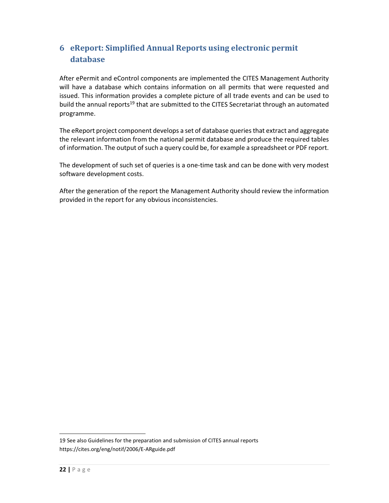# 6 eReport: Simplified Annual Reports using electronic permit database

After ePermit and eControl components are implemented the CITES Management Authority will have a database which contains information on all permits that were requested and issued. This information provides a complete picture of all trade events and can be used to build the annual reports<sup>19</sup> that are submitted to the CITES Secretariat through an automated programme.

The eReport project component develops a set of database queries that extract and aggregate the relevant information from the national permit database and produce the required tables of information. The output of such a query could be, for example a spreadsheet or PDF report.

The development of such set of queries is a one-time task and can be done with very modest software development costs.

After the generation of the report the Management Authority should review the information provided in the report for any obvious inconsistencies.

<sup>19</sup> See also Guidelines for the preparation and submission of CITES annual reports https://cites.org/eng/notif/2006/E-ARguide.pdf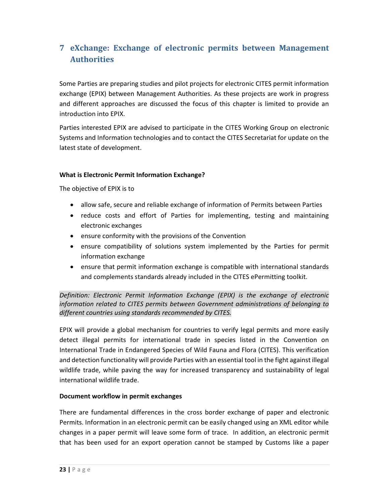# 7 eXchange: Exchange of electronic permits between Management Authorities

Some Parties are preparing studies and pilot projects for electronic CITES permit information exchange (EPIX) between Management Authorities. As these projects are work in progress and different approaches are discussed the focus of this chapter is limited to provide an introduction into EPIX.

Parties interested EPIX are advised to participate in the CITES Working Group on electronic Systems and Information technologies and to contact the CITES Secretariat for update on the latest state of development.

### What is Electronic Permit Information Exchange?

The objective of EPIX is to

- allow safe, secure and reliable exchange of information of Permits between Parties
- reduce costs and effort of Parties for implementing, testing and maintaining electronic exchanges
- ensure conformity with the provisions of the Convention
- ensure compatibility of solutions system implemented by the Parties for permit information exchange
- ensure that permit information exchange is compatible with international standards and complements standards already included in the CITES ePermitting toolkit.

Definition: Electronic Permit Information Exchange (EPIX) is the exchange of electronic information related to CITES permits between Government administrations of belonging to different countries using standards recommended by CITES.

EPIX will provide a global mechanism for countries to verify legal permits and more easily detect illegal permits for international trade in species listed in the Convention on International Trade in Endangered Species of Wild Fauna and Flora (CITES). This verification and detection functionality will provide Parties with an essential tool in the fight against illegal wildlife trade, while paving the way for increased transparency and sustainability of legal international wildlife trade.

### Document workflow in permit exchanges

There are fundamental differences in the cross border exchange of paper and electronic Permits. Information in an electronic permit can be easily changed using an XML editor while changes in a paper permit will leave some form of trace. In addition, an electronic permit that has been used for an export operation cannot be stamped by Customs like a paper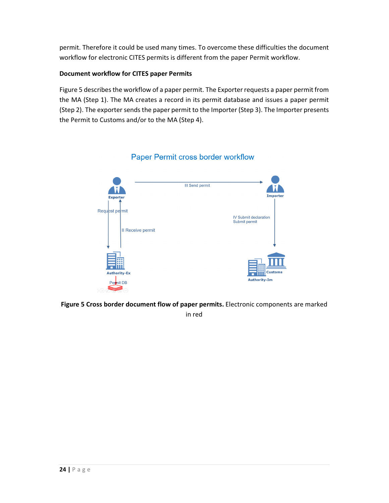permit. Therefore it could be used many times. To overcome these difficulties the document workflow for electronic CITES permits is different from the paper Permit workflow.

### Document workflow for CITES paper Permits

Figure 5 describes the workflow of a paper permit. The Exporter requests a paper permit from the MA (Step 1). The MA creates a record in its permit database and issues a paper permit (Step 2). The exporter sends the paper permit to the Importer (Step 3). The Importer presents the Permit to Customs and/or to the MA (Step 4).



### Paper Permit cross border workflow

Figure 5 Cross border document flow of paper permits. Electronic components are marked in red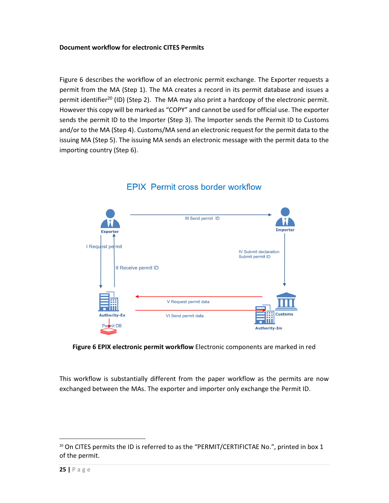#### Document workflow for electronic CITES Permits

Figure 6 describes the workflow of an electronic permit exchange. The Exporter requests a permit from the MA (Step 1). The MA creates a record in its permit database and issues a permit identifier<sup>20</sup> (ID) (Step 2). The MA may also print a hardcopy of the electronic permit. However this copy will be marked as "COPY" and cannot be used for official use. The exporter sends the permit ID to the Importer (Step 3). The Importer sends the Permit ID to Customs and/or to the MA (Step 4). Customs/MA send an electronic request for the permit data to the issuing MA (Step 5). The issuing MA sends an electronic message with the permit data to the importing country (Step 6).



## **EPIX Permit cross border workflow**

Figure 6 EPIX electronic permit workflow Electronic components are marked in red

This workflow is substantially different from the paper workflow as the permits are now exchanged between the MAs. The exporter and importer only exchange the Permit ID.

<sup>&</sup>lt;sup>20</sup> On CITES permits the ID is referred to as the "PERMIT/CERTIFICTAE No.", printed in box 1 of the permit.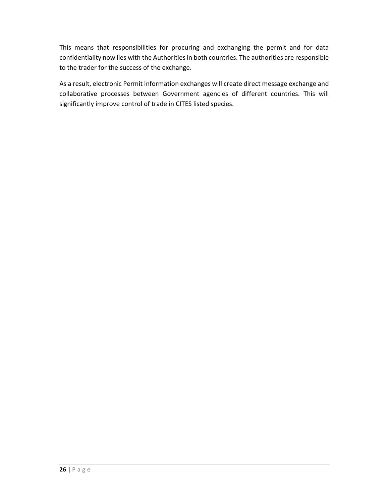This means that responsibilities for procuring and exchanging the permit and for data confidentiality now lies with the Authorities in both countries. The authorities are responsible to the trader for the success of the exchange.

As a result, electronic Permit information exchanges will create direct message exchange and collaborative processes between Government agencies of different countries. This will significantly improve control of trade in CITES listed species.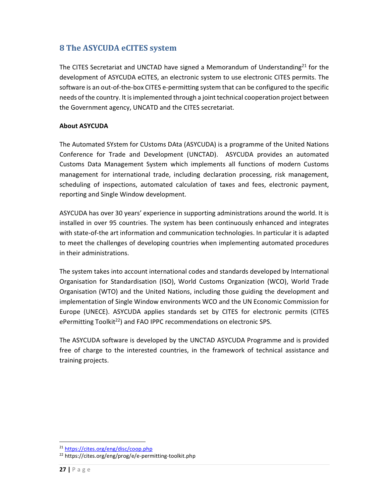# 8 The ASYCUDA eCITES system

The CITES Secretariat and UNCTAD have signed a Memorandum of Understanding<sup>21</sup> for the development of ASYCUDA eCITES, an electronic system to use electronic CITES permits. The software is an out-of-the-box CITES e-permitting system that can be configured to the specific needs of the country. It is implemented through a joint technical cooperation project between the Government agency, UNCATD and the CITES secretariat.

### About ASYCUDA

The Automated SYstem for CUstoms DAta (ASYCUDA) is a programme of the United Nations Conference for Trade and Development (UNCTAD). ASYCUDA provides an automated Customs Data Management System which implements all functions of modern Customs management for international trade, including declaration processing, risk management, scheduling of inspections, automated calculation of taxes and fees, electronic payment, reporting and Single Window development.

ASYCUDA has over 30 years' experience in supporting administrations around the world. It is installed in over 95 countries. The system has been continuously enhanced and integrates with state-of-the art information and communication technologies. In particular it is adapted to meet the challenges of developing countries when implementing automated procedures in their administrations.

The system takes into account international codes and standards developed by International Organisation for Standardisation (ISO), World Customs Organization (WCO), World Trade Organisation (WTO) and the United Nations, including those guiding the development and implementation of Single Window environments WCO and the UN Economic Commission for Europe (UNECE). ASYCUDA applies standards set by CITES for electronic permits (CITES ePermitting Toolkit<sup>22</sup>) and FAO IPPC recommendations on electronic SPS.

The ASYCUDA software is developed by the UNCTAD ASYCUDA Programme and is provided free of charge to the interested countries, in the framework of technical assistance and training projects.

<sup>21</sup> https://cites.org/eng/disc/coop.php

<sup>22</sup> https://cites.org/eng/prog/e/e-permitting-toolkit.php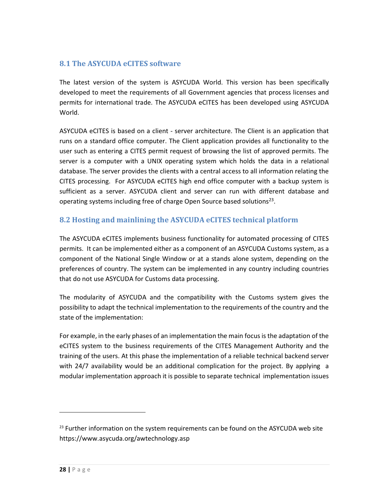### 8.1 The ASYCUDA eCITES software

The latest version of the system is ASYCUDA World. This version has been specifically developed to meet the requirements of all Government agencies that process licenses and permits for international trade. The ASYCUDA eCITES has been developed using ASYCUDA World.

ASYCUDA eCITES is based on a client - server architecture. The Client is an application that runs on a standard office computer. The Client application provides all functionality to the user such as entering a CITES permit request of browsing the list of approved permits. The server is a computer with a UNIX operating system which holds the data in a relational database. The server provides the clients with a central access to all information relating the CITES processing. For ASYCUDA eCITES high end office computer with a backup system is sufficient as a server. ASYCUDA client and server can run with different database and operating systems including free of charge Open Source based solutions<sup>23</sup>.

### 8.2 Hosting and mainlining the ASYCUDA eCITES technical platform

The ASYCUDA eCITES implements business functionality for automated processing of CITES permits. It can be implemented either as a component of an ASYCUDA Customs system, as a component of the National Single Window or at a stands alone system, depending on the preferences of country. The system can be implemented in any country including countries that do not use ASYCUDA for Customs data processing.

The modularity of ASYCUDA and the compatibility with the Customs system gives the possibility to adapt the technical implementation to the requirements of the country and the state of the implementation:

For example, in the early phases of an implementation the main focus is the adaptation of the eCITES system to the business requirements of the CITES Management Authority and the training of the users. At this phase the implementation of a reliable technical backend server with 24/7 availability would be an additional complication for the project. By applying a modular implementation approach it is possible to separate technical implementation issues

 $23$  Further information on the system requirements can be found on the ASYCUDA web site https://www.asycuda.org/awtechnology.asp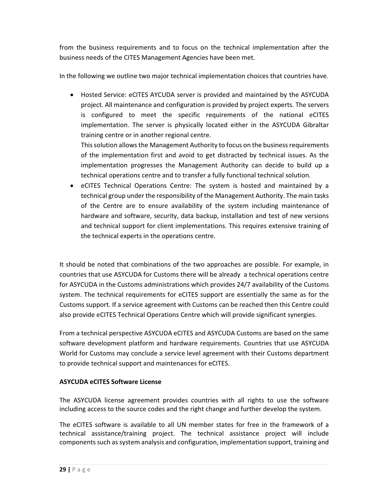from the business requirements and to focus on the technical implementation after the business needs of the CITES Management Agencies have been met.

In the following we outline two major technical implementation choices that countries have.

• Hosted Service: eCITES AYCUDA server is provided and maintained by the ASYCUDA project. All maintenance and configuration is provided by project experts. The servers is configured to meet the specific requirements of the national eCITES implementation. The server is physically located either in the ASYCUDA Gibraltar training centre or in another regional centre.

This solution allows the Management Authority to focus on the business requirements of the implementation first and avoid to get distracted by technical issues. As the implementation progresses the Management Authority can decide to build up a technical operations centre and to transfer a fully functional technical solution.

• eCITES Technical Operations Centre: The system is hosted and maintained by a technical group under the responsibility of the Management Authority. The main tasks of the Centre are to ensure availability of the system including maintenance of hardware and software, security, data backup, installation and test of new versions and technical support for client implementations. This requires extensive training of the technical experts in the operations centre.

It should be noted that combinations of the two approaches are possible. For example, in countries that use ASYCUDA for Customs there will be already a technical operations centre for ASYCUDA in the Customs administrations which provides 24/7 availability of the Customs system. The technical requirements for eCITES support are essentially the same as for the Customs support. If a service agreement with Customs can be reached then this Centre could also provide eCITES Technical Operations Centre which will provide significant synergies.

From a technical perspective ASYCUDA eCITES and ASYCUDA Customs are based on the same software development platform and hardware requirements. Countries that use ASYCUDA World for Customs may conclude a service level agreement with their Customs department to provide technical support and maintenances for eCITES.

### ASYCUDA eCITES Software License

The ASYCUDA license agreement provides countries with all rights to use the software including access to the source codes and the right change and further develop the system.

The eCITES software is available to all UN member states for free in the framework of a technical assistance/training project. The technical assistance project will include components such as system analysis and configuration, implementation support, training and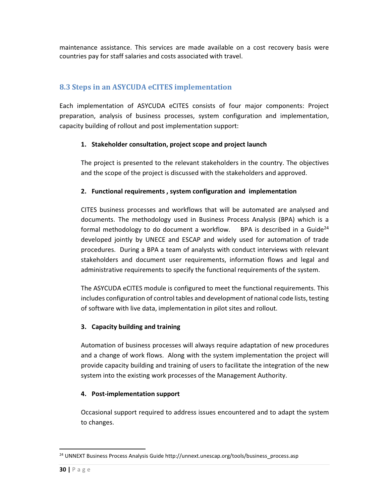maintenance assistance. This services are made available on a cost recovery basis were countries pay for staff salaries and costs associated with travel.

### 8.3 Steps in an ASYCUDA eCITES implementation

Each implementation of ASYCUDA eCITES consists of four major components: Project preparation, analysis of business processes, system configuration and implementation, capacity building of rollout and post implementation support:

### 1. Stakeholder consultation, project scope and project launch

The project is presented to the relevant stakeholders in the country. The objectives and the scope of the project is discussed with the stakeholders and approved.

### 2. Functional requirements , system configuration and implementation

CITES business processes and workflows that will be automated are analysed and documents. The methodology used in Business Process Analysis (BPA) which is a formal methodology to do document a workflow. BPA is described in a Guide<sup>24</sup> developed jointly by UNECE and ESCAP and widely used for automation of trade procedures. During a BPA a team of analysts with conduct interviews with relevant stakeholders and document user requirements, information flows and legal and administrative requirements to specify the functional requirements of the system.

The ASYCUDA eCITES module is configured to meet the functional requirements. This includes configuration of control tables and development of national code lists, testing of software with live data, implementation in pilot sites and rollout.

### 3. Capacity building and training

Automation of business processes will always require adaptation of new procedures and a change of work flows. Along with the system implementation the project will provide capacity building and training of users to facilitate the integration of the new system into the existing work processes of the Management Authority.

### 4. Post-implementation support

Occasional support required to address issues encountered and to adapt the system to changes.

-

<sup>&</sup>lt;sup>24</sup> UNNEXT Business Process Analysis Guide http://unnext.unescap.org/tools/business\_process.asp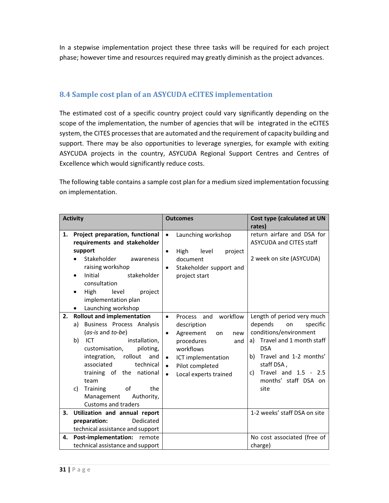In a stepwise implementation project these three tasks will be required for each project phase; however time and resources required may greatly diminish as the project advances.

### 8.4 Sample cost plan of an ASYCUDA eCITES implementation

The estimated cost of a specific country project could vary significantly depending on the scope of the implementation, the number of agencies that will be integrated in the eCITES system, the CITES processes that are automated and the requirement of capacity building and support. There may be also opportunities to leverage synergies, for example with exiting ASYCUDA projects in the country, ASYCUDA Regional Support Centres and Centres of Excellence which would significantly reduce costs.

The following table contains a sample cost plan for a medium sized implementation focussing on implementation.

| <b>Activity</b> |                                                                                                                                                                                                                                                                                                                                                  | <b>Outcomes</b>                                                                                                                                                                                                                       | Cost type (calculated at UN<br>rates)                                                                                                                                                                                                      |
|-----------------|--------------------------------------------------------------------------------------------------------------------------------------------------------------------------------------------------------------------------------------------------------------------------------------------------------------------------------------------------|---------------------------------------------------------------------------------------------------------------------------------------------------------------------------------------------------------------------------------------|--------------------------------------------------------------------------------------------------------------------------------------------------------------------------------------------------------------------------------------------|
| 1.              | Project preparation, functional<br>requirements and stakeholder<br>support<br>Stakeholder<br>awareness<br>raising workshop<br>stakeholder<br><b>Initial</b><br>consultation<br>High<br>level<br>project<br>implementation plan<br>Launching workshop                                                                                             | Launching workshop<br>$\bullet$<br>High<br>level<br>project<br>$\bullet$<br>document<br>Stakeholder support and<br>$\bullet$<br>project start                                                                                         | return airfare and DSA for<br><b>ASYCUDA and CITES staff</b><br>2 week on site (ASYCUDA)                                                                                                                                                   |
| 2.              | <b>Rollout and implementation</b><br>Business Process Analysis<br>a)<br>(as-is and to-be)<br>installation,<br>b)<br>ICT<br>customisation,<br>piloting,<br>rollout<br>integration,<br>and<br>associated<br>technical<br>training of the national<br>team<br>Training<br>of<br>the<br>c)<br>Management<br>Authority,<br><b>Customs and traders</b> | workflow<br>Process and<br>$\bullet$<br>description<br>Agreement<br>new<br>$\bullet$<br>on<br>procedures<br>and<br>workflows<br>ICT implementation<br>$\bullet$<br>Pilot completed<br>$\bullet$<br>Local experts trained<br>$\bullet$ | Length of period very much<br>depends<br>specific<br>on<br>conditions/environment<br>Travel and 1 month staff<br>a)<br><b>DSA</b><br>b) Travel and 1-2 months'<br>staff DSA,<br>Travel and 1.5 - 2.5<br>c)<br>months' staff DSA on<br>site |
| 3.              | Utilization and annual report<br>Dedicated<br>preparation:<br>technical assistance and support                                                                                                                                                                                                                                                   |                                                                                                                                                                                                                                       | 1-2 weeks' staff DSA on site                                                                                                                                                                                                               |
| 4.              | Post-implementation: remote<br>technical assistance and support                                                                                                                                                                                                                                                                                  |                                                                                                                                                                                                                                       | No cost associated (free of<br>charge)                                                                                                                                                                                                     |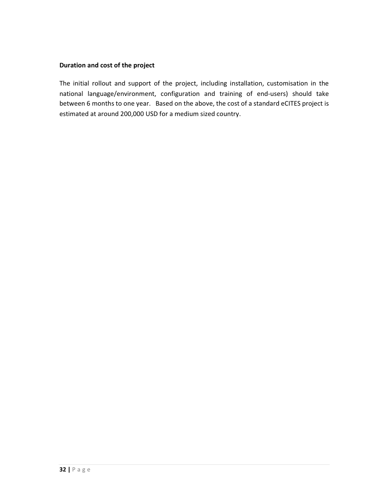#### Duration and cost of the project

The initial rollout and support of the project, including installation, customisation in the national language/environment, configuration and training of end-users) should take between 6 months to one year. Based on the above, the cost of a standard eCITES project is estimated at around 200,000 USD for a medium sized country.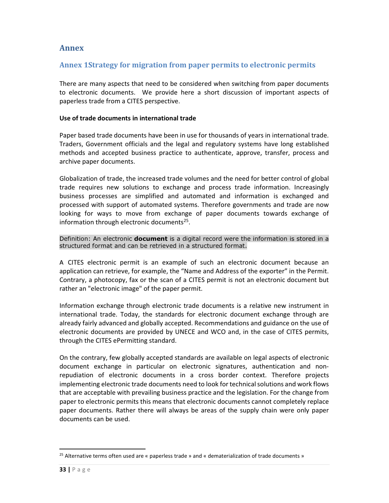### Annex

### Annex 1Strategy for migration from paper permits to electronic permits

There are many aspects that need to be considered when switching from paper documents to electronic documents. We provide here a short discussion of important aspects of paperless trade from a CITES perspective.

#### Use of trade documents in international trade

Paper based trade documents have been in use for thousands of years in international trade. Traders, Government officials and the legal and regulatory systems have long established methods and accepted business practice to authenticate, approve, transfer, process and archive paper documents.

Globalization of trade, the increased trade volumes and the need for better control of global trade requires new solutions to exchange and process trade information. Increasingly business processes are simplified and automated and information is exchanged and processed with support of automated systems. Therefore governments and trade are now looking for ways to move from exchange of paper documents towards exchange of information through electronic documents<sup>25</sup>.

Definition: An electronic **document** is a digital record were the information is stored in a structured format and can be retrieved in a structured format.

A CITES electronic permit is an example of such an electronic document because an application can retrieve, for example, the "Name and Address of the exporter" in the Permit. Contrary, a photocopy, fax or the scan of a CITES permit is not an electronic document but rather an "electronic image" of the paper permit.

Information exchange through electronic trade documents is a relative new instrument in international trade. Today, the standards for electronic document exchange through are already fairly advanced and globally accepted. Recommendations and guidance on the use of electronic documents are provided by UNECE and WCO and, in the case of CITES permits, through the CITES ePermitting standard.

On the contrary, few globally accepted standards are available on legal aspects of electronic document exchange in particular on electronic signatures, authentication and nonrepudiation of electronic documents in a cross border context. Therefore projects implementing electronic trade documents need to look for technical solutions and work flows that are acceptable with prevailing business practice and the legislation. For the change from paper to electronic permits this means that electronic documents cannot completely replace paper documents. Rather there will always be areas of the supply chain were only paper documents can be used.

-

<sup>&</sup>lt;sup>25</sup> Alternative terms often used are « paperless trade » and « dematerialization of trade documents »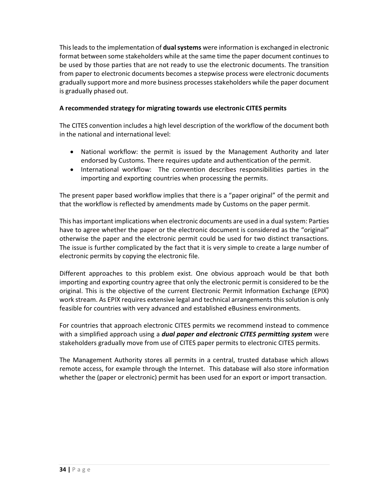This leads to the implementation of **dual systems** were information is exchanged in electronic format between some stakeholders while at the same time the paper document continues to be used by those parties that are not ready to use the electronic documents. The transition from paper to electronic documents becomes a stepwise process were electronic documents gradually support more and more business processes stakeholders while the paper document is gradually phased out.

### A recommended strategy for migrating towards use electronic CITES permits

The CITES convention includes a high level description of the workflow of the document both in the national and international level:

- National workflow: the permit is issued by the Management Authority and later endorsed by Customs. There requires update and authentication of the permit.
- International workflow: The convention describes responsibilities parties in the importing and exporting countries when processing the permits.

The present paper based workflow implies that there is a "paper original" of the permit and that the workflow is reflected by amendments made by Customs on the paper permit.

This has important implications when electronic documents are used in a dual system: Parties have to agree whether the paper or the electronic document is considered as the "original" otherwise the paper and the electronic permit could be used for two distinct transactions. The issue is further complicated by the fact that it is very simple to create a large number of electronic permits by copying the electronic file.

Different approaches to this problem exist. One obvious approach would be that both importing and exporting country agree that only the electronic permit is considered to be the original. This is the objective of the current Electronic Permit Information Exchange (EPIX) work stream. As EPIX requires extensive legal and technical arrangements this solution is only feasible for countries with very advanced and established eBusiness environments.

For countries that approach electronic CITES permits we recommend instead to commence with a simplified approach using a *dual paper and electronic CITES permitting system* were stakeholders gradually move from use of CITES paper permits to electronic CITES permits.

The Management Authority stores all permits in a central, trusted database which allows remote access, for example through the Internet. This database will also store information whether the (paper or electronic) permit has been used for an export or import transaction.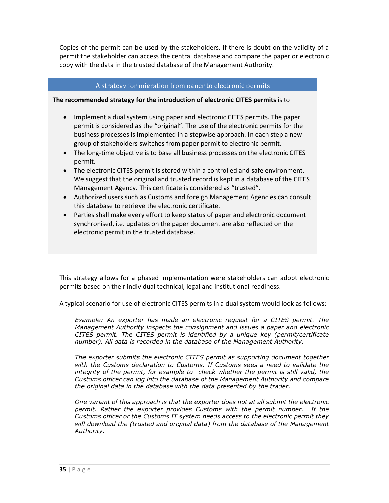Copies of the permit can be used by the stakeholders. If there is doubt on the validity of a permit the stakeholder can access the central database and compare the paper or electronic copy with the data in the trusted database of the Management Authority.

#### A strategy for migration from paper to electronic permits

#### The recommended strategy for the introduction of electronic CITES permits is to

- Implement a dual system using paper and electronic CITES permits. The paper permit is considered as the "original". The use of the electronic permits for the business processes is implemented in a stepwise approach. In each step a new group of stakeholders switches from paper permit to electronic permit.
- The long-time objective is to base all business processes on the electronic CITES permit.
- The electronic CITES permit is stored within a controlled and safe environment. We suggest that the original and trusted record is kept in a database of the CITES Management Agency. This certificate is considered as "trusted".
- Authorized users such as Customs and foreign Management Agencies can consult this database to retrieve the electronic certificate.
- Parties shall make every effort to keep status of paper and electronic document synchronised, i.e. updates on the paper document are also reflected on the electronic permit in the trusted database.

This strategy allows for a phased implementation were stakeholders can adopt electronic permits based on their individual technical, legal and institutional readiness.

A typical scenario for use of electronic CITES permits in a dual system would look as follows:

Example: An exporter has made an electronic request for a CITES permit. The Management Authority inspects the consignment and issues a paper and electronic CITES permit. The CITES permit is identified by a unique key (permit/certificate number). All data is recorded in the database of the Management Authority.

The exporter submits the electronic CITES permit as supporting document together with the Customs declaration to Customs. If Customs sees a need to validate the integrity of the permit, for example to check whether the permit is still valid, the Customs officer can log into the database of the Management Authority and compare the original data in the database with the data presented by the trader.

One variant of this approach is that the exporter does not at all submit the electronic permit. Rather the exporter provides Customs with the permit number. If the Customs officer or the Customs IT system needs access to the electronic permit they will download the (trusted and original data) from the database of the Management Authority.